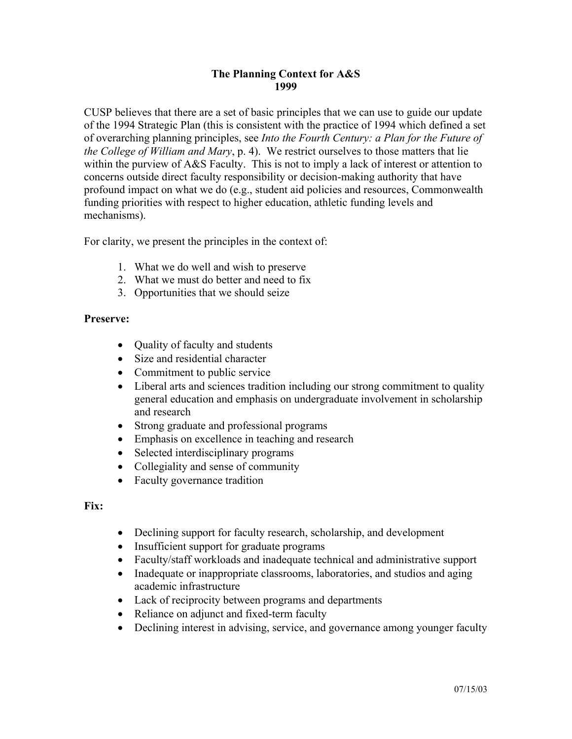## **The Planning Context for A&S 1999**

CUSP believes that there are a set of basic principles that we can use to guide our update of the 1994 Strategic Plan (this is consistent with the practice of 1994 which defined a set of overarching planning principles, see *Into the Fourth Century: a Plan for the Future of the College of William and Mary*, p. 4). We restrict ourselves to those matters that lie within the purview of A&S Faculty. This is not to imply a lack of interest or attention to concerns outside direct faculty responsibility or decision-making authority that have profound impact on what we do (e.g., student aid policies and resources, Commonwealth funding priorities with respect to higher education, athletic funding levels and mechanisms).

For clarity, we present the principles in the context of:

- 1. What we do well and wish to preserve
- 2. What we must do better and need to fix
- 3. Opportunities that we should seize

## **Preserve:**

- Ouality of faculty and students
- Size and residential character
- Commitment to public service
- Liberal arts and sciences tradition including our strong commitment to quality general education and emphasis on undergraduate involvement in scholarship and research
- Strong graduate and professional programs
- Emphasis on excellence in teaching and research
- Selected interdisciplinary programs
- Collegiality and sense of community
- Faculty governance tradition

## **Fix:**

- Declining support for faculty research, scholarship, and development
- Insufficient support for graduate programs
- Faculty/staff workloads and inadequate technical and administrative support
- Inadequate or inappropriate classrooms, laboratories, and studios and aging academic infrastructure
- Lack of reciprocity between programs and departments
- Reliance on adjunct and fixed-term faculty
- Declining interest in advising, service, and governance among younger faculty